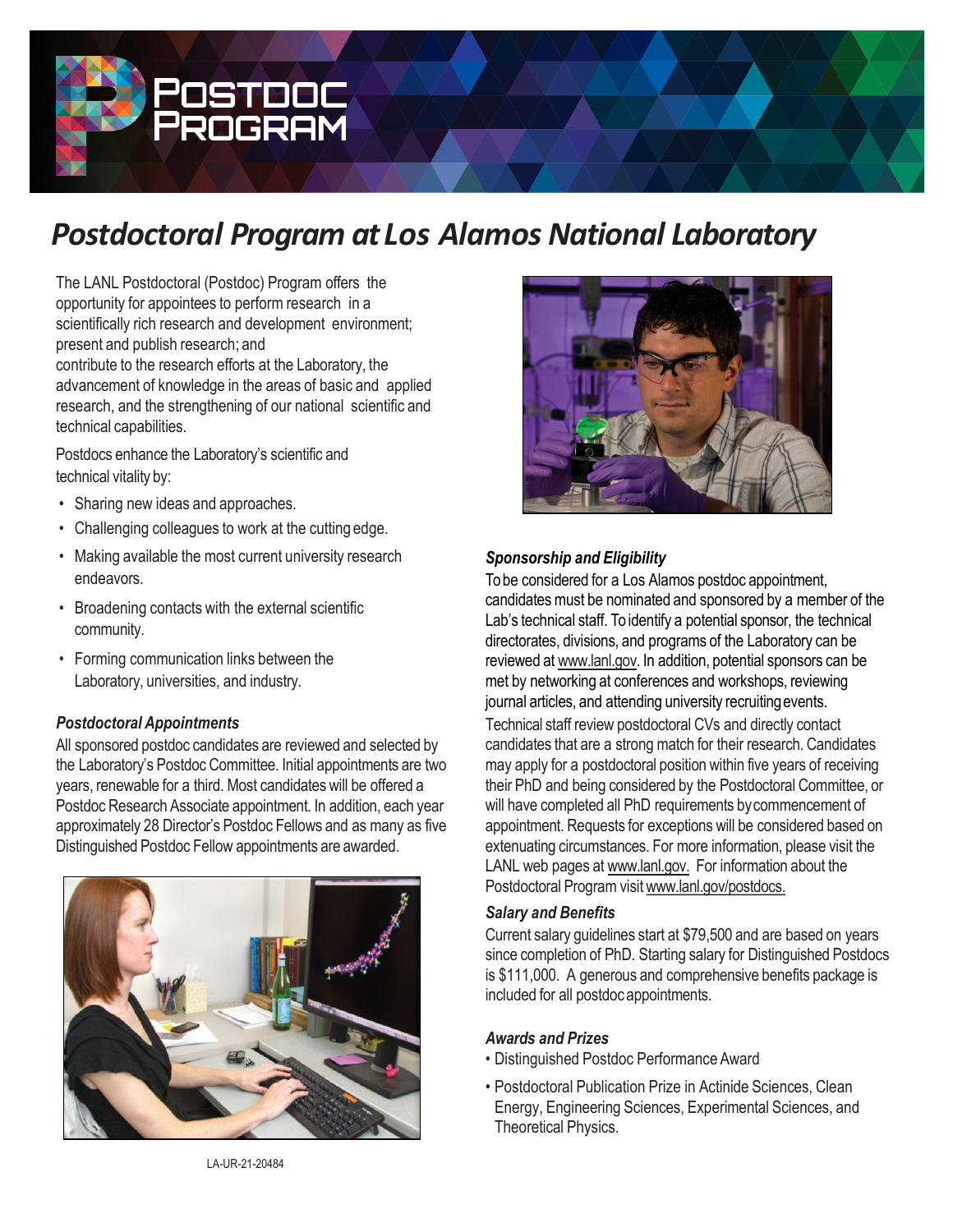

# *Postdoctoral Program at Los Alamos National Laboratory*

The LANL Postdoctoral (Postdoc) Program offers the opportunity for appointees to perform research in a scientifically rich research and development environment; present and publish research; and contribute to the research efforts at the Laboratory, the advancement of knowledge in the areas of basic and applied research, and the strengthening of our national scientific and technical capabilities.

Postdocs enhance the Laboratory's scientific and technical vitality by:

- Sharing new ideas and approaches.
- Challenging colleagues to work at the cutting edge.
- Making available the most current university research endeavors.
- Broadening contacts with the external scientific community.
- Forming communication links between the Laboratory, universities, and industry.

### *Postdoctoral Appointments*

All sponsored postdoc candidates are reviewed and selected by the Laboratory's Postdoc Committee. Initial appointments are two years, renewable for a third. Most candidates will be offered a Postdoc Research Associate appointment. In addition, each year approximately 28 Director's Postdoc Fellows and as many as five Distinguished Postdoc Fellow appointments are awarded.





## *Sponsorship and Eligibility*

To be considered for a Los Alamos postdoc appointment, candidates must be nominated and sponsored by a member of the Lab's technical staff. To identify a potential sponsor, the technical directorates, divisions, and programs of the Laboratory can be reviewed at [www.lanl.gov](http://www.lanl.gov/). In addition, potential sponsors can be met by networking at conferences and workshops, reviewing journal articles, and attending university recruiting events. Technical staff review postdoctoral CVs and directly contact candidates that are a strong match for their research. Candidates may apply for a postdoctoral position within five years of receiving their PhD and being considered by the Postdoctoral Committee, or will have completed all PhD requirements bycommencement of appointment. Requests for exceptions will be considered based on extenuating circumstances. For more information, please visit the LANL web pages at [www.lanl.gov.](http://www.lanl.gov/) For information about the Postdoctoral Program visit [www.lanl.gov/postdocs.](http://www.lanl.gov/postdocs)

#### *Salary and Benefits*

Current salary guidelines start at \$79,500 and are based on years since completion of PhD. Starting salary for Distinguished Postdocs is \$111,000. A generous and comprehensive benefits package is included for all postdocappointments.

#### *Awards and Prizes*

- Distinguished Postdoc Performance Award
- Postdoctoral Publication Prize in Actinide Sciences, Clean Energy, Engineering Sciences, Experimental Sciences, and Theoretical Physics.

LA-UR-21-20484